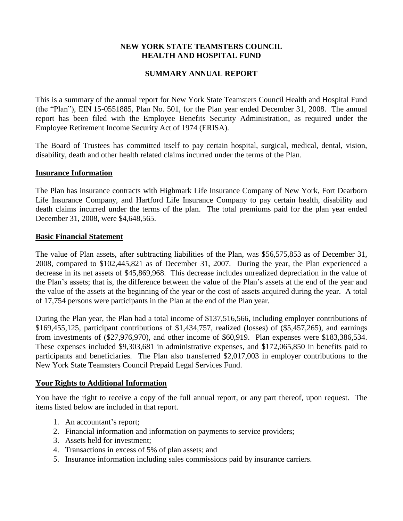# **NEW YORK STATE TEAMSTERS COUNCIL HEALTH AND HOSPITAL FUND**

# **SUMMARY ANNUAL REPORT**

This is a summary of the annual report for New York State Teamsters Council Health and Hospital Fund (the "Plan"), EIN 15-0551885, Plan No. 501, for the Plan year ended December 31, 2008. The annual report has been filed with the Employee Benefits Security Administration, as required under the Employee Retirement Income Security Act of 1974 (ERISA).

The Board of Trustees has committed itself to pay certain hospital, surgical, medical, dental, vision, disability, death and other health related claims incurred under the terms of the Plan.

### **Insurance Information**

The Plan has insurance contracts with Highmark Life Insurance Company of New York, Fort Dearborn Life Insurance Company, and Hartford Life Insurance Company to pay certain health, disability and death claims incurred under the terms of the plan. The total premiums paid for the plan year ended December 31, 2008, were \$4,648,565.

### **Basic Financial Statement**

The value of Plan assets, after subtracting liabilities of the Plan, was \$56,575,853 as of December 31, 2008, compared to \$102,445,821 as of December 31, 2007. During the year, the Plan experienced a decrease in its net assets of \$45,869,968. This decrease includes unrealized depreciation in the value of the Plan's assets; that is, the difference between the value of the Plan's assets at the end of the year and the value of the assets at the beginning of the year or the cost of assets acquired during the year. A total of 17,754 persons were participants in the Plan at the end of the Plan year.

During the Plan year, the Plan had a total income of \$137,516,566, including employer contributions of \$169,455,125, participant contributions of \$1,434,757, realized (losses) of (\$5,457,265), and earnings from investments of (\$27,976,970), and other income of \$60,919. Plan expenses were \$183,386,534. These expenses included \$9,303,681 in administrative expenses, and \$172,065,850 in benefits paid to participants and beneficiaries. The Plan also transferred \$2,017,003 in employer contributions to the New York State Teamsters Council Prepaid Legal Services Fund.

# **Your Rights to Additional Information**

You have the right to receive a copy of the full annual report, or any part thereof, upon request. The items listed below are included in that report.

- 1. An accountant's report;
- 2. Financial information and information on payments to service providers;
- 3. Assets held for investment;
- 4. Transactions in excess of 5% of plan assets; and
- 5. Insurance information including sales commissions paid by insurance carriers.